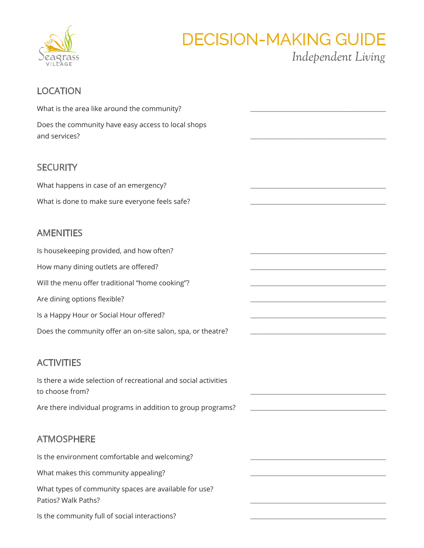

# **DECISION-MAKING GUIDE**

Independent Living

# **LOCATION**

| What is the area like around the community?                                        |  |
|------------------------------------------------------------------------------------|--|
| Does the community have easy access to local shops<br>and services?                |  |
|                                                                                    |  |
| <b>SECURITY</b>                                                                    |  |
| What happens in case of an emergency?                                              |  |
| What is done to make sure everyone feels safe?                                     |  |
| <b>AMENITIES</b>                                                                   |  |
| Is housekeeping provided, and how often?                                           |  |
| How many dining outlets are offered?                                               |  |
| Will the menu offer traditional "home cooking"?                                    |  |
| Are dining options flexible?                                                       |  |
| Is a Happy Hour or Social Hour offered?                                            |  |
| Does the community offer an on-site salon, spa, or theatre?                        |  |
| <b>ACTIVITIES</b>                                                                  |  |
| Is there a wide selection of recreational and social activities<br>to choose from? |  |
| Are there individual programs in addition to group programs?                       |  |
| <b>ATMOSPHERE</b>                                                                  |  |
| Is the environment comfortable and welcoming?                                      |  |
| What makes this community appealing?                                               |  |
| What types of community spaces are available for use?<br>Patios? Walk Paths?       |  |
| Is the community full of social interactions?                                      |  |